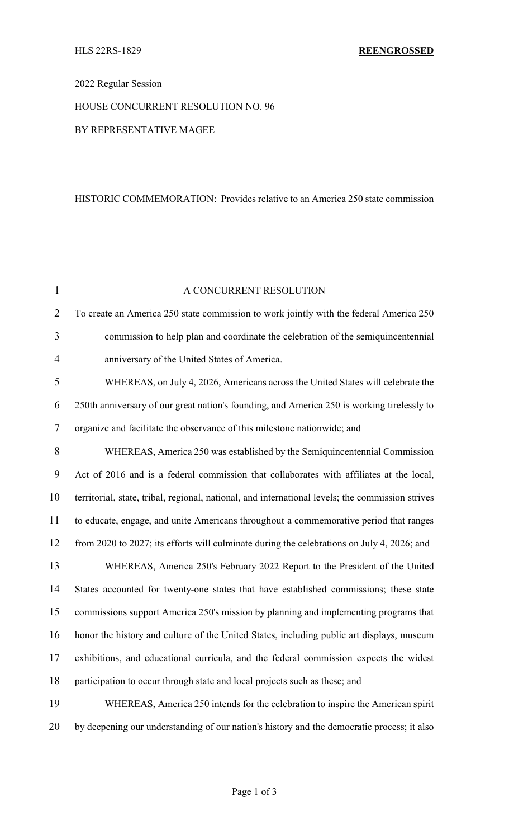# 2022 Regular Session

# HOUSE CONCURRENT RESOLUTION NO. 96

### BY REPRESENTATIVE MAGEE

#### HISTORIC COMMEMORATION: Provides relative to an America 250 state commission

| $\mathbf{1}$   | A CONCURRENT RESOLUTION                                                                          |
|----------------|--------------------------------------------------------------------------------------------------|
| $\overline{2}$ | To create an America 250 state commission to work jointly with the federal America 250           |
| 3              | commission to help plan and coordinate the celebration of the semiquincentennial                 |
| $\overline{4}$ | anniversary of the United States of America.                                                     |
| 5              | WHEREAS, on July 4, 2026, Americans across the United States will celebrate the                  |
| 6              | 250th anniversary of our great nation's founding, and America 250 is working tirelessly to       |
| $\tau$         | organize and facilitate the observance of this milestone nationwide; and                         |
| 8              | WHEREAS, America 250 was established by the Semiquincentennial Commission                        |
| 9              | Act of 2016 and is a federal commission that collaborates with affiliates at the local,          |
| 10             | territorial, state, tribal, regional, national, and international levels; the commission strives |
| 11             | to educate, engage, and unite Americans throughout a commemorative period that ranges            |
| 12             | from 2020 to 2027; its efforts will culminate during the celebrations on July 4, 2026; and       |
| 13             | WHEREAS, America 250's February 2022 Report to the President of the United                       |
| 14             | States accounted for twenty-one states that have established commissions; these state            |
| 15             | commissions support America 250's mission by planning and implementing programs that             |
| 16             | honor the history and culture of the United States, including public art displays, museum        |
| 17             | exhibitions, and educational curricula, and the federal commission expects the widest            |
| 18             | participation to occur through state and local projects such as these; and                       |
| 19             | WHEREAS, America 250 intends for the celebration to inspire the American spirit                  |
| 20             | by deepening our understanding of our nation's history and the democratic process; it also       |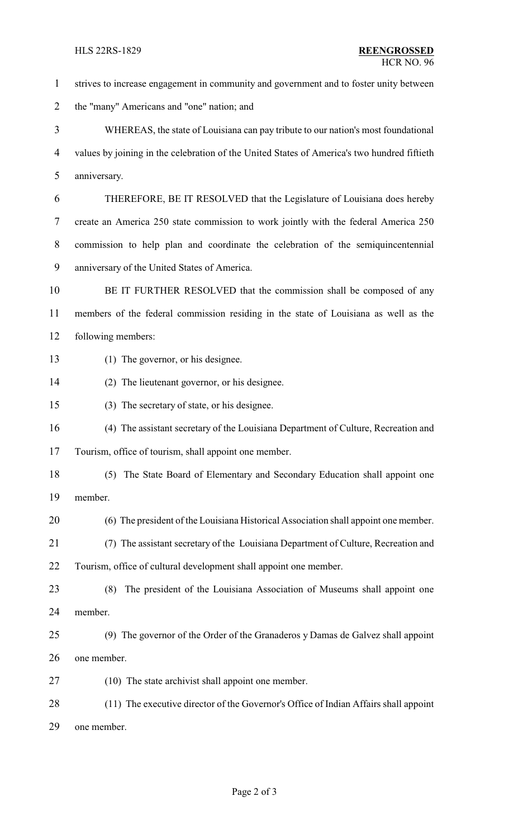- strives to increase engagement in community and government and to foster unity between the "many" Americans and "one" nation; and WHEREAS, the state of Louisiana can pay tribute to our nation's most foundational values by joining in the celebration of the United States of America's two hundred fiftieth anniversary. THEREFORE, BE IT RESOLVED that the Legislature of Louisiana does hereby create an America 250 state commission to work jointly with the federal America 250 commission to help plan and coordinate the celebration of the semiquincentennial anniversary of the United States of America. BE IT FURTHER RESOLVED that the commission shall be composed of any members of the federal commission residing in the state of Louisiana as well as the following members: (1) The governor, or his designee. (2) The lieutenant governor, or his designee. (3) The secretary of state, or his designee. (4) The assistant secretary of the Louisiana Department of Culture, Recreation and Tourism, office of tourism, shall appoint one member. (5) The State Board of Elementary and Secondary Education shall appoint one member. (6) The president of the Louisiana Historical Association shall appoint one member. (7) The assistant secretary of the Louisiana Department of Culture, Recreation and Tourism, office of cultural development shall appoint one member. (8) The president of the Louisiana Association of Museums shall appoint one member. (9) The governor of the Order of the Granaderos y Damas de Galvez shall appoint one member. (10) The state archivist shall appoint one member. (11) The executive director of the Governor's Office of Indian Affairs shall appoint one member.
	- Page 2 of 3